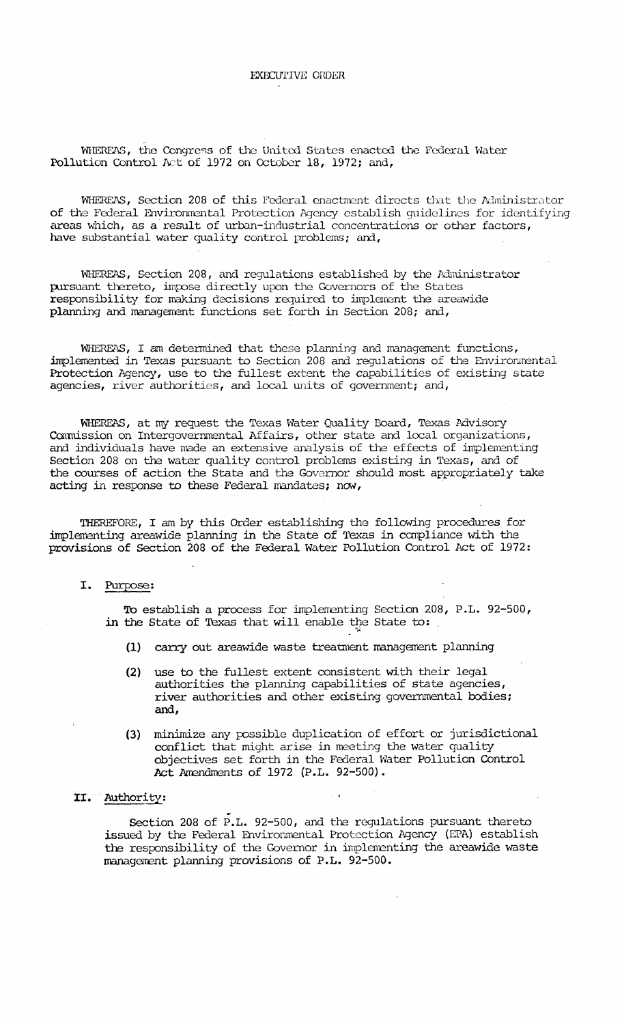WHEREAS, the Congress of the United States enacted the Federal Water Pollution Control Act of 1972 on October 18, 1972; and,

WHEREAS, Section 208 of this Federal enactment directs that the Administrator of the Federal Environmental Protection Agency establish guidelines for identifying areas which, as a result of urban-industrial concentrations or other factors, have substantial water quality control problems; and,

WHEREAS, Section 208, and regulations established by the Administrator pursuant thereto, impose directly upon the Governors of the States responsibility for making decisions required to implement the areawide planning and management functions set forth in Section 208; and,

WHEREAS, I am determined that these planning and management functions, implemented in Texas pursuant to Section 208 and regulations of the Environmental Protection Agency, use to the fullest extent the capabilities of existing state agencies, river authorities, and local units of government; and,

WHEREAS, at my request the Texas Water Quality Board, Texas Advisory Commission on Intergovernmental Affairs, other state and local organizations, and individuals have made an extensive analysis of the effects of implementing Section 208 on the water quality control problems existing in Texas, and of the courses of action the State and the Governor should most appropriately take acting in response to these Federal mandates; now,

THEREFORE, I am by this Order establishing the following procedures for implementing areawide planning in the State of Texas in compliance with the provisions of Section 208 of the Federal Water Pollution Control Act of 1972:

### I. Purpose:

To establish a process for implementing Section 208, P.L. 92-500, in the State of Texas that will enable the State to:

- (1) carry out areawide waste treatment management planning
- use to the fullest extent consistent with their legal  $(2)$ authorities the planning capabilities of state agencies, river authorities and other existing governmental bodies; and,
- (3) minimize any possible duplication of effort or jurisdictional conflict that might arise in meeting the water quality objectives set forth in the Federal Water Pollution Control Act Amendments of 1972 (P.L. 92-500).

# II. Authority:

Section 208 of P.L. 92-500, and the regulations pursuant thereto issued by the Federal Environmental Protection Agency (EPA) establish the responsibility of the Governor in implementing the areawide waste management planning provisions of P.L. 92-500.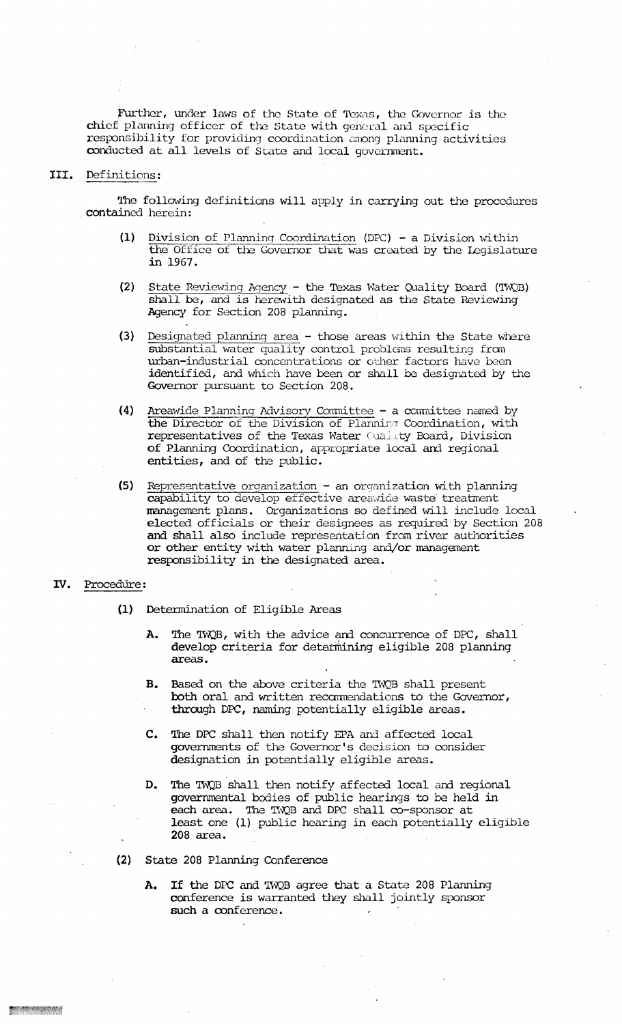Further, under laws of the State of Texas, the Governor is the chief planning officer of the State with general and specific responsibility for providing coordination among planning activities conducted at all levels of State and local government.

### III. Definitions:

The following definitions will apply in carrying out the procedures contained herein:

- (1) Division of Planning Coordination (DPC) a Division within the Office of the Governor that was created by the Legislature in 1967.
- (2) State Reviewing Agency the Texas Water Quality Board (TWQB) shall be, and is herewith designated as the State Reviewing Agency for Section 208 planning.
- (3) Designated planning area those areas within the State where substantial water quality control problems resulting from urban-industrial concentrations or other factors have been identified, and which have been or shall be designated by the Governor pursuant to Section 208.
- (4) Areamde Planning Advisory Committee a comnittee named by the Director of the Division of Planning Coordination, with representatives of the Texas Water Quality Board, Division of Planning Coordination, appropriate local and regional entities, and of the public.
- (5) Representative organization an organization with planning capability to develop effective areavlide waste' treatment management plans. Organizations so defined will include local elected officials or their designees as required by Section <sup>208</sup> and shall also include representation from river authorities or other entity with water planning and/or management responsibility in the designated area.

## IV. Procedure:

- (1) Determination of Eligible Areas
	- A. The TWQB, with the advice and concurrence of DPC, shall develop criteria for determining eligible 208 planning areas.
	- B. Based on the above criteria the TWQB shall present both oral and written recommendations to the Governor, through DPC, naming potentially eligible areas.
	- c. The DPC shall then notify EPA and affected local governments of the Governor's decision to consider designation in potentially eligible areas.
	- D. The TWQB shall then notify affected local and regional governmental bodies of public hearings to be held in each area. The TWQB and DPC shall co-sponsor at least one (1) public hearing in each potentially eligible 208 area. .
- (2) State 208 Planning Conference
	- A. If the DPC and TWQB agree that a State 208 Planning conference is warranted they shall jointly sponsor such a conference.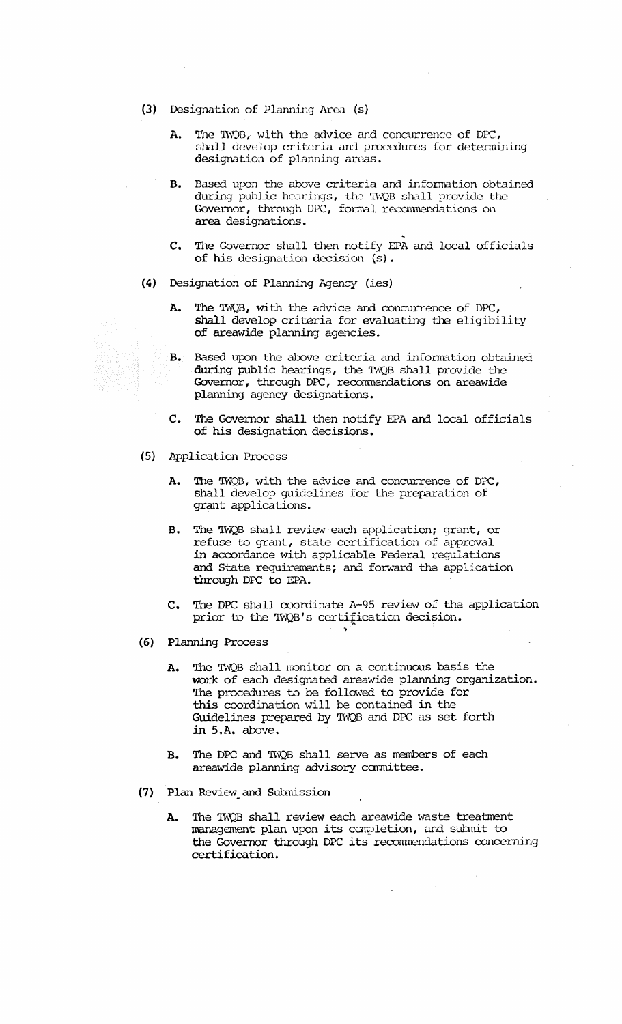- (3) Designation of Planning Area (s)
	- A. The TWQB, with the advice and concurrence of DPC, shall develop criteria and procedures for determining designation of planning areas.
	- B. Based upon the above criteria and information obtained during public hearings, the TWQB shall provide the Governor, through DPC, formal recommendations on area designations.
	- C. The Governor shall then notify EPA and local officials of his designation decision (s).
- (4) Designation of Planning Agency (ies)
	- A. The TWQB, with the advice and concurrence of DPC, shall develop criteria for evaluating the eligibility of areawide planning agencies.
	- B. Based upon the above criteria and information obtained during public hearings, the TWQB shall provide the Governor, through DPC, recommendations on areawide planning agency designations.
	- C. The Governor shall then notify EPA and local officials of his designation decisions.
- (5) Application Process
	- A. The 'IWQB, with the advice and concurrence of DPC, shall develop guidelines for the preparation of grant applications.
	- B. The 'IWQB shall review each application; grant, or refuse to grant, state certification of approval in accordance with applicable Federal regulations and State requirements; and forward the application through DPC to EPA.
	- C. The DPC shall coordinate A-95 review of the application prior to the TWQB's certification decision.
- (6) Planning Process
	- A. The TWQB shall monitor on a continuous basis the work of each designated areawide planning organization. The procedures to be followed to provide for this coordination will be contained in the Guidelines prepared by TWQB and DPC as set forth in 5.A. above.
	- B. The DPC and TWQB shall serve as members of each areawide planning advisory canmittee.
- (7) Plan Review and Submission
	- A. The TWQB shall review each areawide waste treatment management plan upon its completion, and submit to the Governor through DPC its recommendations concerning certification.